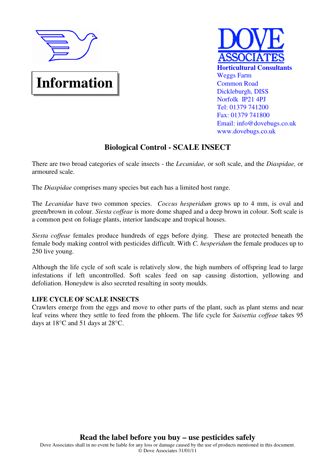

# **Information**



# **Biological Control - SCALE INSECT**

There are two broad categories of scale insects - the *Lecanidae,* or soft scale, and the *Diaspidae,* or armoured scale.

The *Diaspidae* comprises many species but each has a limited host range.

The *Lecanidae* have two common species. *Coccus hesperidum* grows up to 4 mm, is oval and green/brown in colour. *Siesta coffeae* is more dome shaped and a deep brown in colour. Soft scale is a common pest on foliage plants, interior landscape and tropical houses.

*Siesta coffeae* females produce hundreds of eggs before dying. These are protected beneath the female body making control with pesticides difficult. With *C. hesperidum* the female produces up to 250 live young.

Although the life cycle of soft scale is relatively slow, the high numbers of offspring lead to large infestations if left uncontrolled. Soft scales feed on sap causing distortion, yellowing and defoliation. Honeydew is also secreted resulting in sooty moulds.

## **LIFE CYCLE OF SCALE INSECTS**

Crawlers emerge from the eggs and move to other parts of the plant, such as plant stems and near leaf veins where they settle to feed from the phloem. The life cycle for *Saisettia coffeae* takes 95 days at 18°C and 51 days at 28°C.